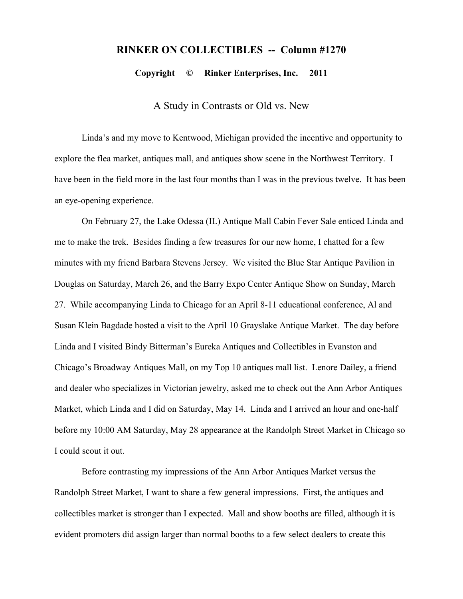## **RINKER ON COLLECTIBLES -- Column #1270**

**Copyright © Rinker Enterprises, Inc. 2011**

A Study in Contrasts or Old vs. New

Linda's and my move to Kentwood, Michigan provided the incentive and opportunity to explore the flea market, antiques mall, and antiques show scene in the Northwest Territory. I have been in the field more in the last four months than I was in the previous twelve. It has been an eye-opening experience.

On February 27, the Lake Odessa (IL) Antique Mall Cabin Fever Sale enticed Linda and me to make the trek. Besides finding a few treasures for our new home, I chatted for a few minutes with my friend Barbara Stevens Jersey. We visited the Blue Star Antique Pavilion in Douglas on Saturday, March 26, and the Barry Expo Center Antique Show on Sunday, March 27. While accompanying Linda to Chicago for an April 8-11 educational conference, Al and Susan Klein Bagdade hosted a visit to the April 10 Grayslake Antique Market. The day before Linda and I visited Bindy Bitterman's Eureka Antiques and Collectibles in Evanston and Chicago's Broadway Antiques Mall, on my Top 10 antiques mall list. Lenore Dailey, a friend and dealer who specializes in Victorian jewelry, asked me to check out the Ann Arbor Antiques Market, which Linda and I did on Saturday, May 14. Linda and I arrived an hour and one-half before my 10:00 AM Saturday, May 28 appearance at the Randolph Street Market in Chicago so I could scout it out.

Before contrasting my impressions of the Ann Arbor Antiques Market versus the Randolph Street Market, I want to share a few general impressions. First, the antiques and collectibles market is stronger than I expected. Mall and show booths are filled, although it is evident promoters did assign larger than normal booths to a few select dealers to create this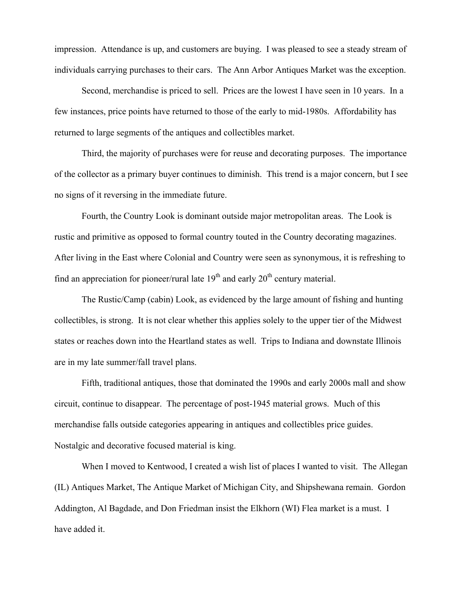impression. Attendance is up, and customers are buying. I was pleased to see a steady stream of individuals carrying purchases to their cars. The Ann Arbor Antiques Market was the exception.

Second, merchandise is priced to sell. Prices are the lowest I have seen in 10 years. In a few instances, price points have returned to those of the early to mid-1980s. Affordability has returned to large segments of the antiques and collectibles market.

Third, the majority of purchases were for reuse and decorating purposes. The importance of the collector as a primary buyer continues to diminish. This trend is a major concern, but I see no signs of it reversing in the immediate future.

Fourth, the Country Look is dominant outside major metropolitan areas. The Look is rustic and primitive as opposed to formal country touted in the Country decorating magazines. After living in the East where Colonial and Country were seen as synonymous, it is refreshing to find an appreciation for pioneer/rural late  $19<sup>th</sup>$  and early  $20<sup>th</sup>$  century material.

The Rustic/Camp (cabin) Look, as evidenced by the large amount of fishing and hunting collectibles, is strong. It is not clear whether this applies solely to the upper tier of the Midwest states or reaches down into the Heartland states as well. Trips to Indiana and downstate Illinois are in my late summer/fall travel plans.

Fifth, traditional antiques, those that dominated the 1990s and early 2000s mall and show circuit, continue to disappear. The percentage of post-1945 material grows. Much of this merchandise falls outside categories appearing in antiques and collectibles price guides. Nostalgic and decorative focused material is king.

When I moved to Kentwood, I created a wish list of places I wanted to visit. The Allegan (IL) Antiques Market, The Antique Market of Michigan City, and Shipshewana remain. Gordon Addington, Al Bagdade, and Don Friedman insist the Elkhorn (WI) Flea market is a must. I have added it.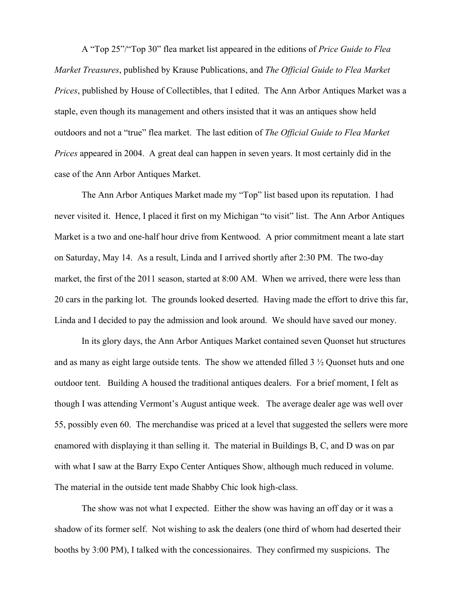A "Top 25"/"Top 30" flea market list appeared in the editions of *Price Guide to Flea Market Treasures*, published by Krause Publications, and *The Official Guide to Flea Market Prices*, published by House of Collectibles, that I edited. The Ann Arbor Antiques Market was a staple, even though its management and others insisted that it was an antiques show held outdoors and not a "true" flea market. The last edition of *The Official Guide to Flea Market Prices* appeared in 2004. A great deal can happen in seven years. It most certainly did in the case of the Ann Arbor Antiques Market.

The Ann Arbor Antiques Market made my "Top" list based upon its reputation. I had never visited it. Hence, I placed it first on my Michigan "to visit" list. The Ann Arbor Antiques Market is a two and one-half hour drive from Kentwood. A prior commitment meant a late start on Saturday, May 14. As a result, Linda and I arrived shortly after 2:30 PM. The two-day market, the first of the 2011 season, started at 8:00 AM. When we arrived, there were less than 20 cars in the parking lot. The grounds looked deserted. Having made the effort to drive this far, Linda and I decided to pay the admission and look around. We should have saved our money.

In its glory days, the Ann Arbor Antiques Market contained seven Quonset hut structures and as many as eight large outside tents. The show we attended filled 3 ½ Quonset huts and one outdoor tent. Building A housed the traditional antiques dealers. For a brief moment, I felt as though I was attending Vermont's August antique week. The average dealer age was well over 55, possibly even 60. The merchandise was priced at a level that suggested the sellers were more enamored with displaying it than selling it. The material in Buildings B, C, and D was on par with what I saw at the Barry Expo Center Antiques Show, although much reduced in volume. The material in the outside tent made Shabby Chic look high-class.

The show was not what I expected. Either the show was having an off day or it was a shadow of its former self. Not wishing to ask the dealers (one third of whom had deserted their booths by 3:00 PM), I talked with the concessionaires. They confirmed my suspicions. The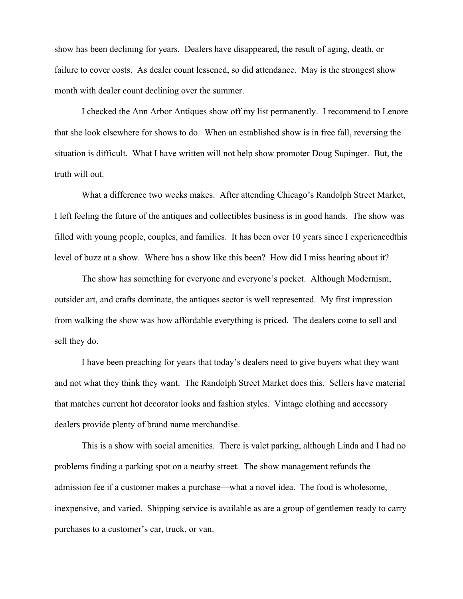show has been declining for years. Dealers have disappeared, the result of aging, death, or failure to cover costs. As dealer count lessened, so did attendance. May is the strongest show month with dealer count declining over the summer.

I checked the Ann Arbor Antiques show off my list permanently. I recommend to Lenore that she look elsewhere for shows to do. When an established show is in free fall, reversing the situation is difficult. What I have written will not help show promoter Doug Supinger. But, the truth will out.

What a difference two weeks makes. After attending Chicago's Randolph Street Market, I left feeling the future of the antiques and collectibles business is in good hands. The show was filled with young people, couples, and families. It has been over 10 years since I experiencedthis level of buzz at a show. Where has a show like this been? How did I miss hearing about it?

The show has something for everyone and everyone's pocket. Although Modernism, outsider art, and crafts dominate, the antiques sector is well represented. My first impression from walking the show was how affordable everything is priced. The dealers come to sell and sell they do.

I have been preaching for years that today's dealers need to give buyers what they want and not what they think they want. The Randolph Street Market does this. Sellers have material that matches current hot decorator looks and fashion styles. Vintage clothing and accessory dealers provide plenty of brand name merchandise.

This is a show with social amenities. There is valet parking, although Linda and I had no problems finding a parking spot on a nearby street. The show management refunds the admission fee if a customer makes a purchase—what a novel idea. The food is wholesome, inexpensive, and varied. Shipping service is available as are a group of gentlemen ready to carry purchases to a customer's car, truck, or van.